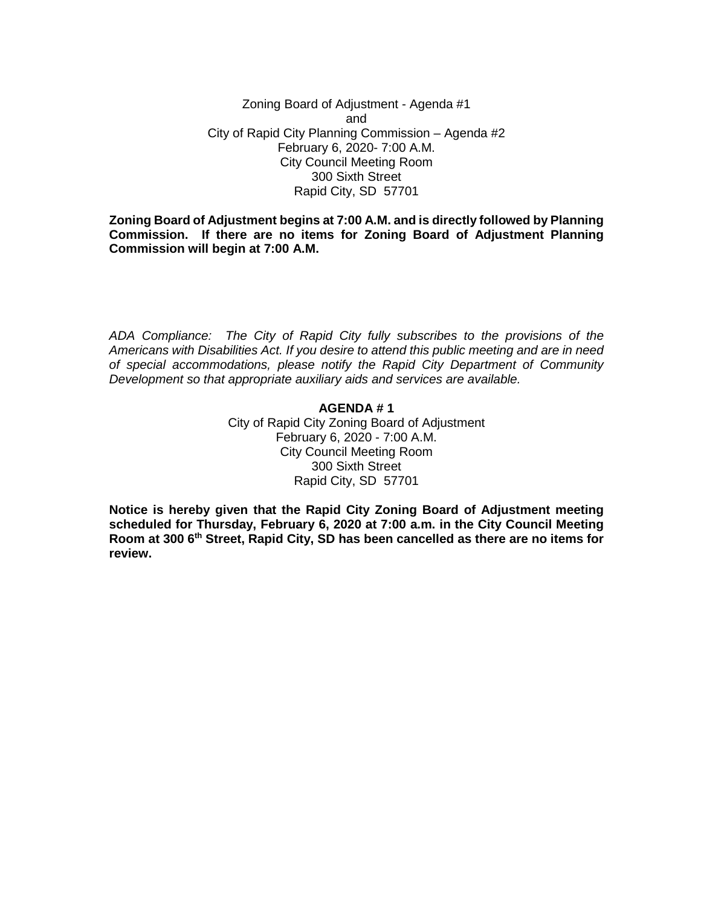Zoning Board of Adjustment - Agenda #1 and City of Rapid City Planning Commission – Agenda #2 February 6, 2020- 7:00 A.M. City Council Meeting Room 300 Sixth Street Rapid City, SD 57701

**Zoning Board of Adjustment begins at 7:00 A.M. and is directly followed by Planning Commission. If there are no items for Zoning Board of Adjustment Planning Commission will begin at 7:00 A.M.**

*ADA Compliance: The City of Rapid City fully subscribes to the provisions of the Americans with Disabilities Act. If you desire to attend this public meeting and are in need of special accommodations, please notify the Rapid City Department of Community Development so that appropriate auxiliary aids and services are available.*

# **AGENDA # 1**

City of Rapid City Zoning Board of Adjustment February 6, 2020 - 7:00 A.M. City Council Meeting Room 300 Sixth Street Rapid City, SD 57701

**Notice is hereby given that the Rapid City Zoning Board of Adjustment meeting scheduled for Thursday, February 6, 2020 at 7:00 a.m. in the City Council Meeting Room at 300 6th Street, Rapid City, SD has been cancelled as there are no items for review.**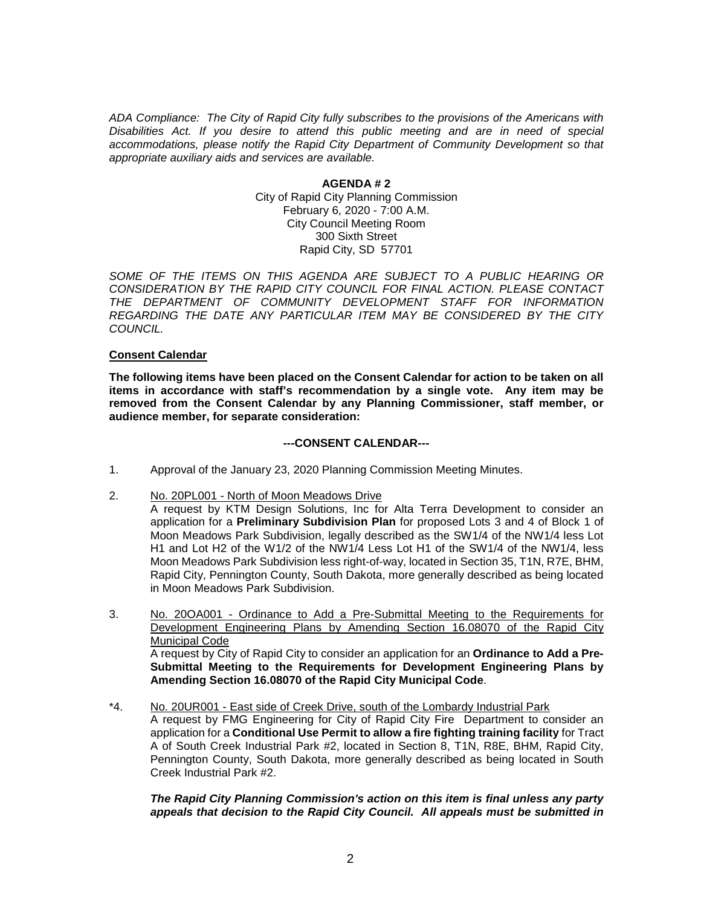*ADA Compliance: The City of Rapid City fully subscribes to the provisions of the Americans with Disabilities Act. If you desire to attend this public meeting and are in need of special accommodations, please notify the Rapid City Department of Community Development so that appropriate auxiliary aids and services are available.*

> **AGENDA # 2** City of Rapid City Planning Commission February 6, 2020 - 7:00 A.M. City Council Meeting Room 300 Sixth Street Rapid City, SD 57701

*SOME OF THE ITEMS ON THIS AGENDA ARE SUBJECT TO A PUBLIC HEARING OR CONSIDERATION BY THE RAPID CITY COUNCIL FOR FINAL ACTION. PLEASE CONTACT THE DEPARTMENT OF COMMUNITY DEVELOPMENT STAFF FOR INFORMATION REGARDING THE DATE ANY PARTICULAR ITEM MAY BE CONSIDERED BY THE CITY COUNCIL.*

### **Consent Calendar**

**The following items have been placed on the Consent Calendar for action to be taken on all items in accordance with staff's recommendation by a single vote. Any item may be removed from the Consent Calendar by any Planning Commissioner, staff member, or audience member, for separate consideration:**

### **---CONSENT CALENDAR---**

- 1. Approval of the January 23, 2020 Planning Commission Meeting Minutes.
- 2. No. 20PL001 North of Moon Meadows Drive
	- A request by KTM Design Solutions, Inc for Alta Terra Development to consider an application for a **Preliminary Subdivision Plan** for proposed Lots 3 and 4 of Block 1 of Moon Meadows Park Subdivision, legally described as the SW1/4 of the NW1/4 less Lot H1 and Lot H2 of the W1/2 of the NW1/4 Less Lot H1 of the SW1/4 of the NW1/4, less Moon Meadows Park Subdivision less right-of-way, located in Section 35, T1N, R7E, BHM, Rapid City, Pennington County, South Dakota, more generally described as being located in Moon Meadows Park Subdivision.
- 3. No. 20OA001 Ordinance to Add a Pre-Submittal Meeting to the Requirements for Development Engineering Plans by Amending Section 16.08070 of the Rapid City Municipal Code A request by City of Rapid City to consider an application for an **Ordinance to Add a Pre-Submittal Meeting to the Requirements for Development Engineering Plans by Amending Section 16.08070 of the Rapid City Municipal Code**.
- \*4. No. 20UR001 East side of Creek Drive, south of the Lombardy Industrial Park A request by FMG Engineering for City of Rapid City Fire Department to consider an application for a **Conditional Use Permit to allow a fire fighting training facility** for Tract A of South Creek Industrial Park #2, located in Section 8, T1N, R8E, BHM, Rapid City, Pennington County, South Dakota, more generally described as being located in South Creek Industrial Park #2.

## *The Rapid City Planning Commission's action on this item is final unless any party appeals that decision to the Rapid City Council. All appeals must be submitted in*